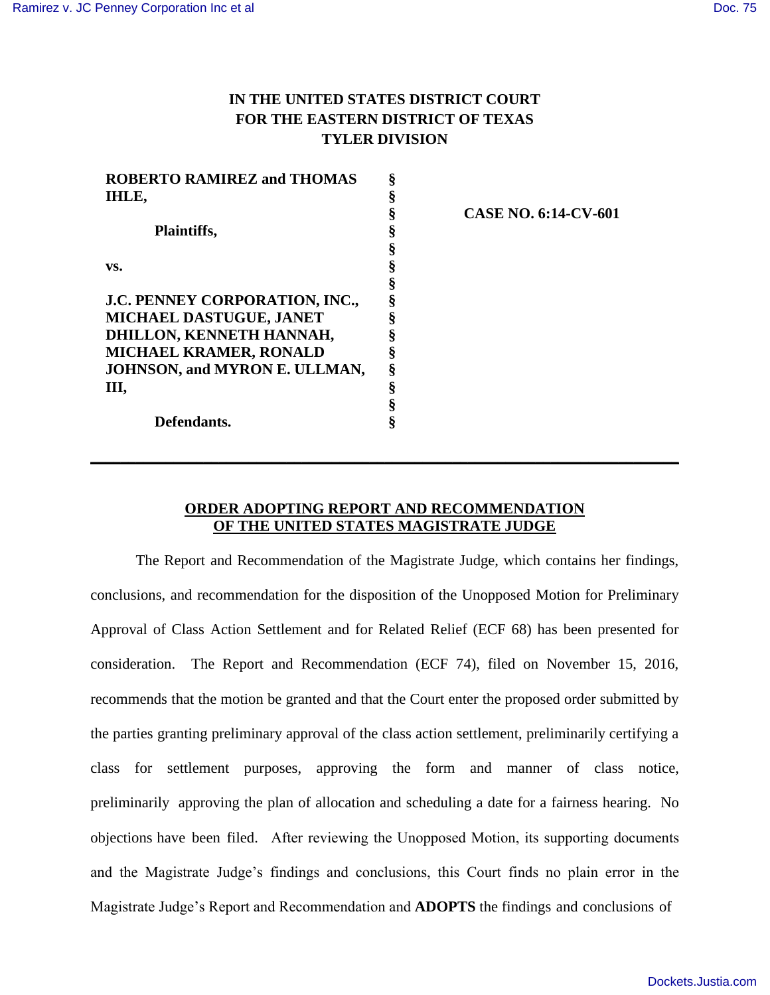## **IN THE UNITED STATES DISTRICT COURT FOR THE EASTERN DISTRICT OF TEXAS TYLER DIVISION**

| <b>ROBERTO RAMIREZ and THOMAS</b> | ş  |                             |
|-----------------------------------|----|-----------------------------|
| IHLE,                             | ş  |                             |
|                                   |    | <b>CASE NO. 6:14-CV-601</b> |
| Plaintiffs,                       |    |                             |
|                                   |    |                             |
| VS.                               |    |                             |
|                                   |    |                             |
| J.C. PENNEY CORPORATION, INC.,    |    |                             |
| MICHAEL DASTUGUE, JANET           |    |                             |
| DHILLON, KENNETH HANNAH,          |    |                             |
| MICHAEL KRAMER, RONALD            |    |                             |
| JOHNSON, and MYRON E. ULLMAN,     |    |                             |
| Ш,                                | ş  |                             |
|                                   |    |                             |
| Defendants.                       | \$ |                             |

## **ORDER ADOPTING REPORT AND RECOMMENDATION OF THE UNITED STATES MAGISTRATE JUDGE**

**\_\_\_\_\_\_\_\_\_\_\_\_\_\_\_\_\_\_\_\_\_\_\_\_\_\_\_\_\_\_\_\_\_\_\_\_\_\_\_\_\_\_\_\_\_\_\_\_\_\_\_\_\_\_\_\_\_\_\_\_\_\_\_\_\_\_\_\_\_\_\_\_\_\_\_\_\_\_** 

The Report and Recommendation of the Magistrate Judge, which contains her findings, conclusions, and recommendation for the disposition of the Unopposed Motion for Preliminary Approval of Class Action Settlement and for Related Relief (ECF 68) has been presented for consideration. The Report and Recommendation (ECF 74), filed on November 15, 2016, recommends that the motion be granted and that the Court enter the proposed order submitted by the parties granting preliminary approval of the class action settlement, preliminarily certifying a class for settlement purposes, approving the form and manner of class notice, preliminarily approving the plan of allocation and scheduling a date for a fairness hearing. No objections have been filed. After reviewing the Unopposed Motion, its supporting documents and the Magistrate Judge's findings and conclusions, this Court finds no plain error in the Magistrate Judge's Report and Recommendation and **ADOPTS** the findings and conclusions of